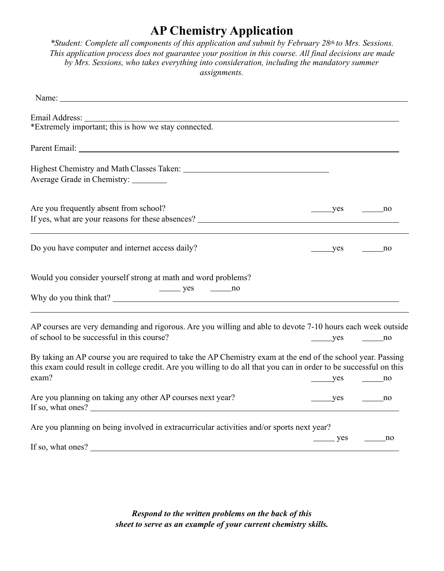## **AP Chemistry Application**

*\*Student: Complete all components of this application and submit by February 28th to Mrs. Sessions. This application process does not guarantee your position in this course. All final decisions are made by Mrs. Sessions, who takes everything into consideration, including the mandatory summer assignments.* 

| *Extremely important; this is how we stay connected.                                                                                                                                                                                        |                                                  |                    |
|---------------------------------------------------------------------------------------------------------------------------------------------------------------------------------------------------------------------------------------------|--------------------------------------------------|--------------------|
| Parent Email: The Contract of the Contract of the Contract of the Contract of the Contract of the Contract of the Contract of the Contract of the Contract of the Contract of the Contract of the Contract of the Contract of               |                                                  |                    |
|                                                                                                                                                                                                                                             |                                                  |                    |
| Average Grade in Chemistry: ________                                                                                                                                                                                                        |                                                  |                    |
| Are you frequently absent from school?                                                                                                                                                                                                      | $\rule{1em}{0.15mm}$ yes $\rule{1em}{0.15mm}$ no |                    |
|                                                                                                                                                                                                                                             |                                                  |                    |
| Do you have computer and internet access daily?                                                                                                                                                                                             | yes                                              | $\frac{\ }{\ }$ no |
| Would you consider yourself strong at math and word problems?<br>$yes$ no                                                                                                                                                                   |                                                  |                    |
| AP courses are very demanding and rigorous. Are you willing and able to devote 7-10 hours each week outside<br>of school to be successful in this course?                                                                                   | yes                                              | no                 |
| By taking an AP course you are required to take the AP Chemistry exam at the end of the school year. Passing<br>this exam could result in college credit. Are you willing to do all that you can in order to be successful on this<br>exam? |                                                  |                    |
| Are you planning on taking any other AP courses next year?<br>If so, what ones?                                                                                                                                                             | $yes$ no                                         |                    |
| Are you planning on being involved in extracurricular activities and/or sports next year?<br>If so, what ones?                                                                                                                              | $\rule{1em}{0.15mm}$ yes                         | no                 |

*Respond to the written problems on the back of this sheet to serve as an example of your current chemistry skills.*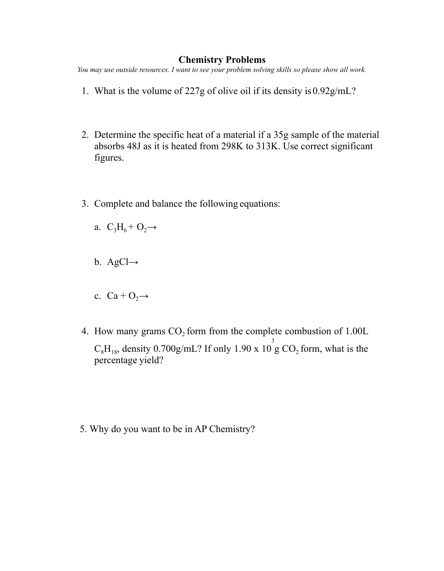## **Chemistry Problems**

*You may use outside resources. I want to see your problem solving skills so please show all work.* 

- 1. What is the volume of 227g of olive oil if its density is 0.92g/mL?
- 2. Determine the specific heat of a material if a 35g sample of the material absorbs 48J as it is heated from 298K to 313K. Use correct significant figures.
- 3. Complete and balance the following equations:
	- a.  $C_3H_6 + O_2 \rightarrow$
	- b. AgCl $\rightarrow$
	- c.  $Ca + O_2 \rightarrow$
- 4. How many grams  $CO<sub>2</sub>$  form from the complete combustion of 1.00L  $C_8H_{18}$ , density 0.700g/mL? If only 1.90 x 10 3  $g \text{CO}_2$  form, what is the percentage yield?

5. Why do you want to be in AP Chemistry?